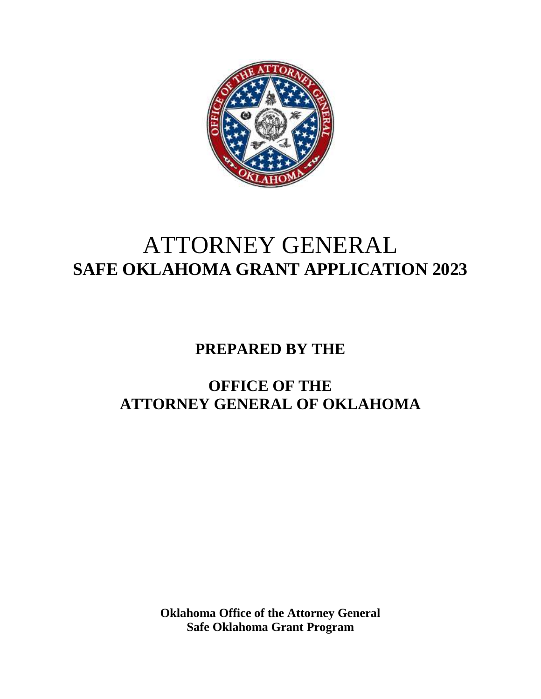

# ATTORNEY GENERAL **SAFE OKLAHOMA GRANT APPLICATION 2023**

## **PREPARED BY THE**

## **OFFICE OF THE ATTORNEY GENERAL OF OKLAHOMA**

**Oklahoma Office of the Attorney General Safe Oklahoma Grant Program**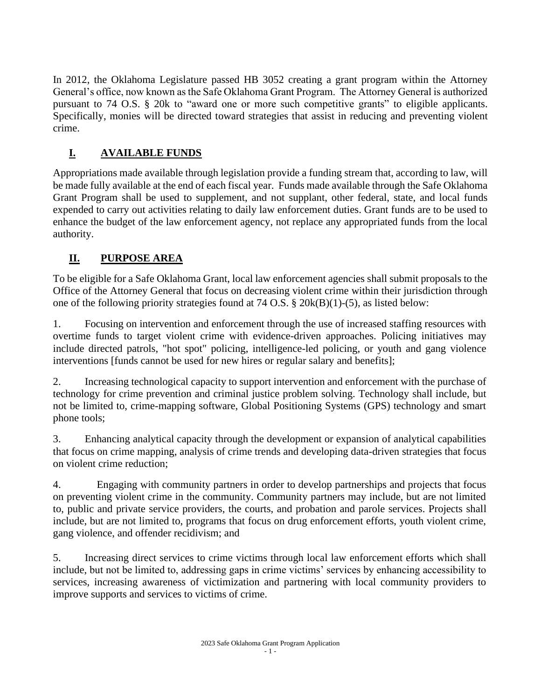In 2012, the Oklahoma Legislature passed HB 3052 creating a grant program within the Attorney General's office, now known as the Safe Oklahoma Grant Program. The Attorney General is authorized pursuant to 74 O.S. § 20k to "award one or more such competitive grants" to eligible applicants. Specifically, monies will be directed toward strategies that assist in reducing and preventing violent crime.

## **I. AVAILABLE FUNDS**

Appropriations made available through legislation provide a funding stream that, according to law, will be made fully available at the end of each fiscal year. Funds made available through the Safe Oklahoma Grant Program shall be used to supplement, and not supplant, other federal, state, and local funds expended to carry out activities relating to daily law enforcement duties. Grant funds are to be used to enhance the budget of the law enforcement agency, not replace any appropriated funds from the local authority.

### **II. PURPOSE AREA**

To be eligible for a Safe Oklahoma Grant, local law enforcement agencies shall submit proposals to the Office of the Attorney General that focus on decreasing violent crime within their jurisdiction through one of the following priority strategies found at 74 O.S. § 20k(B)(1)-(5), as listed below:

1. Focusing on intervention and enforcement through the use of increased staffing resources with overtime funds to target violent crime with evidence-driven approaches. Policing initiatives may include directed patrols, "hot spot" policing, intelligence-led policing, or youth and gang violence interventions [funds cannot be used for new hires or regular salary and benefits];

2. Increasing technological capacity to support intervention and enforcement with the purchase of technology for crime prevention and criminal justice problem solving. Technology shall include, but not be limited to, crime-mapping software, Global Positioning Systems (GPS) technology and smart phone tools;

3. Enhancing analytical capacity through the development or expansion of analytical capabilities that focus on crime mapping, analysis of crime trends and developing data-driven strategies that focus on violent crime reduction;

4. Engaging with community partners in order to develop partnerships and projects that focus on preventing violent crime in the community. Community partners may include, but are not limited to, public and private service providers, the courts, and probation and parole services. Projects shall include, but are not limited to, programs that focus on drug enforcement efforts, youth violent crime, gang violence, and offender recidivism; and

5. Increasing direct services to crime victims through local law enforcement efforts which shall include, but not be limited to, addressing gaps in crime victims' services by enhancing accessibility to services, increasing awareness of victimization and partnering with local community providers to improve supports and services to victims of crime.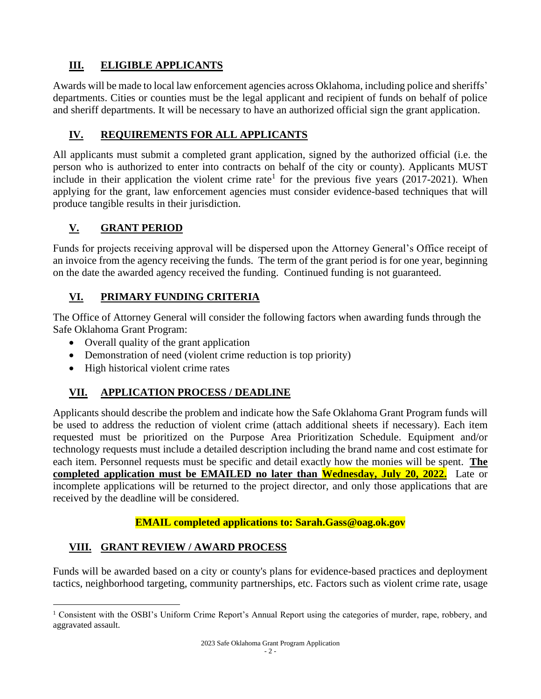## **III. ELIGIBLE APPLICANTS**

Awards will be made to local law enforcement agencies across Oklahoma, including police and sheriffs' departments. Cities or counties must be the legal applicant and recipient of funds on behalf of police and sheriff departments. It will be necessary to have an authorized official sign the grant application.

## **IV. REQUIREMENTS FOR ALL APPLICANTS**

All applicants must submit a completed grant application, signed by the authorized official (i.e. the person who is authorized to enter into contracts on behalf of the city or county). Applicants MUST include in their application the violent crime rate<sup>1</sup> for the previous five years  $(2017-2021)$ . When applying for the grant, law enforcement agencies must consider evidence-based techniques that will produce tangible results in their jurisdiction.

## **V. GRANT PERIOD**

Funds for projects receiving approval will be dispersed upon the Attorney General's Office receipt of an invoice from the agency receiving the funds. The term of the grant period is for one year, beginning on the date the awarded agency received the funding. Continued funding is not guaranteed.

### **VI. PRIMARY FUNDING CRITERIA**

The Office of Attorney General will consider the following factors when awarding funds through the Safe Oklahoma Grant Program:

- Overall quality of the grant application
- Demonstration of need (violent crime reduction is top priority)
- High historical violent crime rates

## **VII. APPLICATION PROCESS / DEADLINE**

Applicants should describe the problem and indicate how the Safe Oklahoma Grant Program funds will be used to address the reduction of violent crime (attach additional sheets if necessary). Each item requested must be prioritized on the Purpose Area Prioritization Schedule. Equipment and/or technology requests must include a detailed description including the brand name and cost estimate for each item. Personnel requests must be specific and detail exactly how the monies will be spent. **The completed application must be EMAILED no later than Wednesday, July 20, 2022.** Late or incomplete applications will be returned to the project director, and only those applications that are received by the deadline will be considered.

**EMAIL completed applications to: Sarah.Gass@oag.ok.gov**

## **VIII. GRANT REVIEW / AWARD PROCESS**

Funds will be awarded based on a city or county's plans for evidence-based practices and deployment tactics, neighborhood targeting, community partnerships, etc. Factors such as violent crime rate, usage

<sup>1</sup> Consistent with the OSBI's Uniform Crime Report's Annual Report using the categories of murder, rape, robbery, and aggravated assault.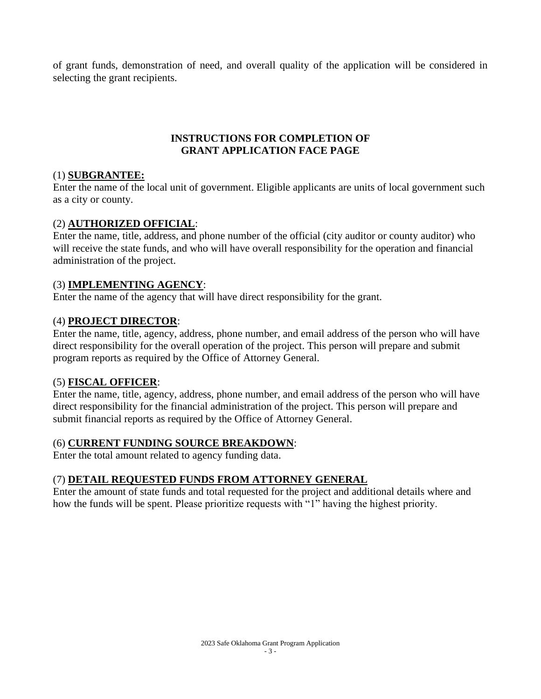of grant funds, demonstration of need, and overall quality of the application will be considered in selecting the grant recipients.

#### **INSTRUCTIONS FOR COMPLETION OF GRANT APPLICATION FACE PAGE**

#### (1) **SUBGRANTEE:**

Enter the name of the local unit of government. Eligible applicants are units of local government such as a city or county.

#### (2) **AUTHORIZED OFFICIAL**:

Enter the name, title, address, and phone number of the official (city auditor or county auditor) who will receive the state funds, and who will have overall responsibility for the operation and financial administration of the project.

#### (3) **IMPLEMENTING AGENCY**:

Enter the name of the agency that will have direct responsibility for the grant.

#### (4) **PROJECT DIRECTOR**:

Enter the name, title, agency, address, phone number, and email address of the person who will have direct responsibility for the overall operation of the project. This person will prepare and submit program reports as required by the Office of Attorney General.

#### (5) **FISCAL OFFICER**:

Enter the name, title, agency, address, phone number, and email address of the person who will have direct responsibility for the financial administration of the project. This person will prepare and submit financial reports as required by the Office of Attorney General.

#### (6) **CURRENT FUNDING SOURCE BREAKDOWN**:

Enter the total amount related to agency funding data.

#### (7) **DETAIL REQUESTED FUNDS FROM ATTORNEY GENERAL**

Enter the amount of state funds and total requested for the project and additional details where and how the funds will be spent. Please prioritize requests with "1" having the highest priority.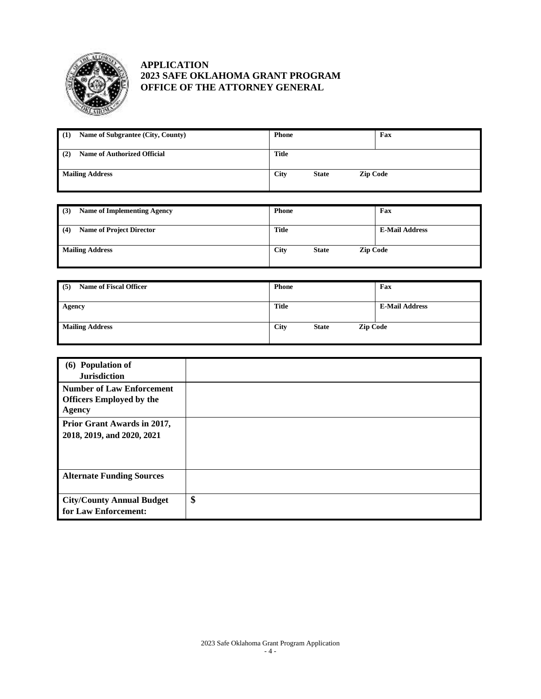

#### **APPLICATION 2023 SAFE OKLAHOMA GRANT PROGRAM OFFICE OF THE ATTORNEY GENERAL**

| Name of Subgrantee (City, County)<br>(1)  | <b>Phone</b>                                   | Fax |
|-------------------------------------------|------------------------------------------------|-----|
| <b>Name of Authorized Official</b><br>(2) | <b>Title</b>                                   |     |
| <b>Mailing Address</b>                    | <b>City</b><br><b>Zip Code</b><br><b>State</b> |     |

| <b>Name of Implementing Agency</b><br>(3) | <b>Phone</b>                                   | Fax                   |
|-------------------------------------------|------------------------------------------------|-----------------------|
| (4)<br><b>Name of Project Director</b>    | <b>Title</b>                                   | <b>E-Mail Address</b> |
| <b>Mailing Address</b>                    | <b>City</b><br><b>Zip Code</b><br><b>State</b> |                       |

| <b>Name of Fiscal Officer</b><br>(5) | <b>Phone</b>                                   | Fax                   |
|--------------------------------------|------------------------------------------------|-----------------------|
| Agency                               | Title                                          | <b>E-Mail Address</b> |
| <b>Mailing Address</b>               | <b>City</b><br><b>Zip Code</b><br><b>State</b> |                       |

| (6) Population of<br><b>Jurisdiction</b>                                      |    |
|-------------------------------------------------------------------------------|----|
| <b>Number of Law Enforcement</b><br><b>Officers Employed by the</b><br>Agency |    |
| Prior Grant Awards in 2017,<br>2018, 2019, and 2020, 2021                     |    |
| <b>Alternate Funding Sources</b>                                              |    |
| <b>City/County Annual Budget</b><br>for Law Enforcement:                      | \$ |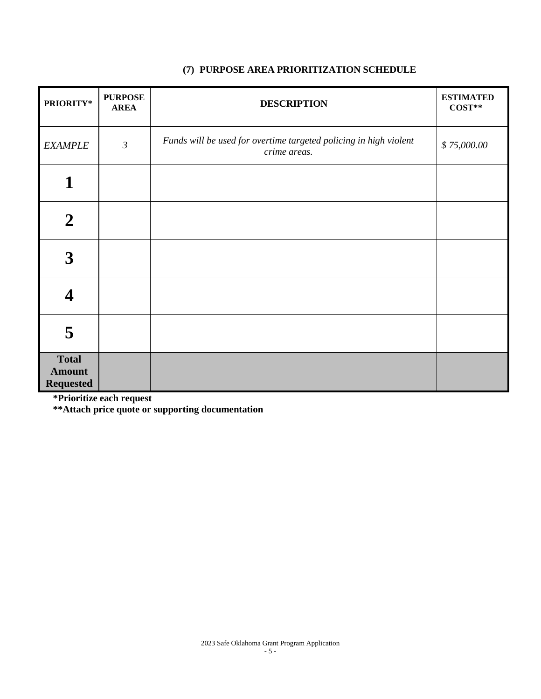| PRIORITY*                                         | <b>PURPOSE</b><br><b>AREA</b> | <b>DESCRIPTION</b>                                                                | <b>ESTIMATED</b><br>$COST**$ |
|---------------------------------------------------|-------------------------------|-----------------------------------------------------------------------------------|------------------------------|
| <b>EXAMPLE</b>                                    | $\mathfrak{Z}$                | Funds will be used for overtime targeted policing in high violent<br>crime areas. | \$75,000.00                  |
| 1                                                 |                               |                                                                                   |                              |
| $\boldsymbol{2}$                                  |                               |                                                                                   |                              |
| 3                                                 |                               |                                                                                   |                              |
|                                                   |                               |                                                                                   |                              |
| 5                                                 |                               |                                                                                   |                              |
| <b>Total</b><br><b>Amount</b><br><b>Requested</b> |                               |                                                                                   |                              |

#### **(7) PURPOSE AREA PRIORITIZATION SCHEDULE**

**\*Prioritize each request**

**\*\*Attach price quote or supporting documentation**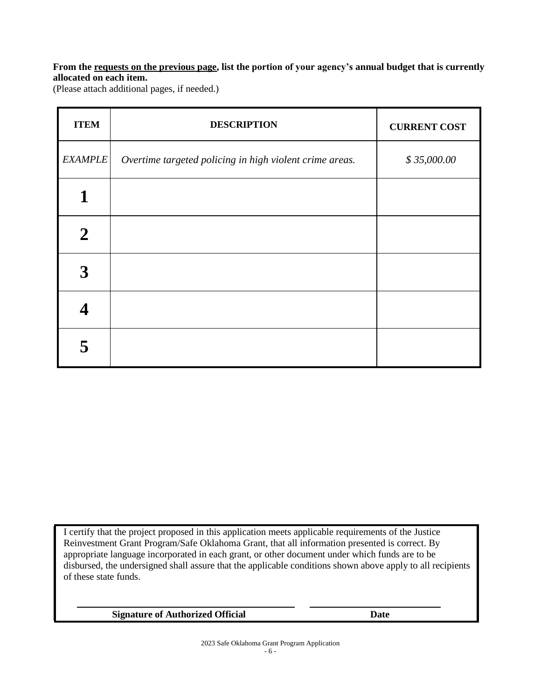#### **From the requests on the previous page, list the portion of your agency's annual budget that is currently allocated on each item.**

(Please attach additional pages, if needed.)

| <b>ITEM</b>    | <b>DESCRIPTION</b>                                      | <b>CURRENT COST</b> |
|----------------|---------------------------------------------------------|---------------------|
| <b>EXAMPLE</b> | Overtime targeted policing in high violent crime areas. | \$35,000.00         |
| 1              |                                                         |                     |
| $\overline{2}$ |                                                         |                     |
| 3              |                                                         |                     |
|                |                                                         |                     |
|                |                                                         |                     |

I certify that the project proposed in this application meets applicable requirements of the Justice Reinvestment Grant Program/Safe Oklahoma Grant, that all information presented is correct. By appropriate language incorporated in each grant, or other document under which funds are to be disbursed, the undersigned shall assure that the applicable conditions shown above apply to all recipients of these state funds.

**Signature of Authorized Official Date**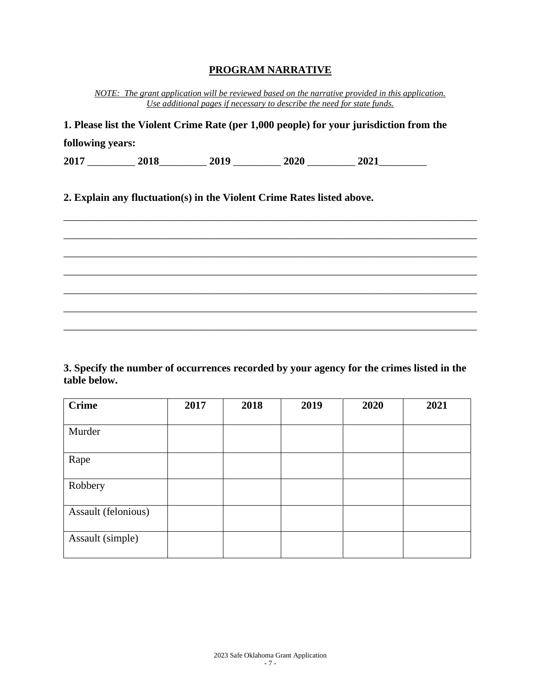#### **PROGRAM NARRATIVE**

*NOTE: The grant application will be reviewed based on the narrative provided in this application. Use additional pages if necessary to describe the need for state funds.*

| 1. Please list the Violent Crime Rate (per 1,000 people) for your jurisdiction from the<br>following years: |  |  |                                                                        |  |  |
|-------------------------------------------------------------------------------------------------------------|--|--|------------------------------------------------------------------------|--|--|
|                                                                                                             |  |  |                                                                        |  |  |
|                                                                                                             |  |  | 2. Explain any fluctuation(s) in the Violent Crime Rates listed above. |  |  |
|                                                                                                             |  |  |                                                                        |  |  |
|                                                                                                             |  |  |                                                                        |  |  |
|                                                                                                             |  |  |                                                                        |  |  |
|                                                                                                             |  |  |                                                                        |  |  |
|                                                                                                             |  |  |                                                                        |  |  |
|                                                                                                             |  |  |                                                                        |  |  |
|                                                                                                             |  |  |                                                                        |  |  |

**3. Specify the number of occurrences recorded by your agency for the crimes listed in the table below.**

| <b>Crime</b>        | 2017 | 2018 | 2019 | 2020 | 2021 |
|---------------------|------|------|------|------|------|
|                     |      |      |      |      |      |
| Murder              |      |      |      |      |      |
|                     |      |      |      |      |      |
| Rape                |      |      |      |      |      |
|                     |      |      |      |      |      |
| Robbery             |      |      |      |      |      |
|                     |      |      |      |      |      |
| Assault (felonious) |      |      |      |      |      |
|                     |      |      |      |      |      |
| Assault (simple)    |      |      |      |      |      |
|                     |      |      |      |      |      |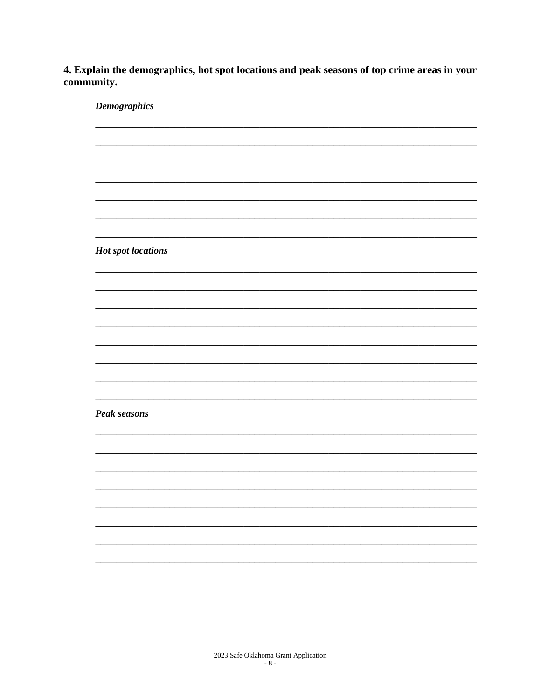4. Explain the demographics, hot spot locations and peak seasons of top crime areas in your community.

**Demographics Hot spot locations Peak seasons**